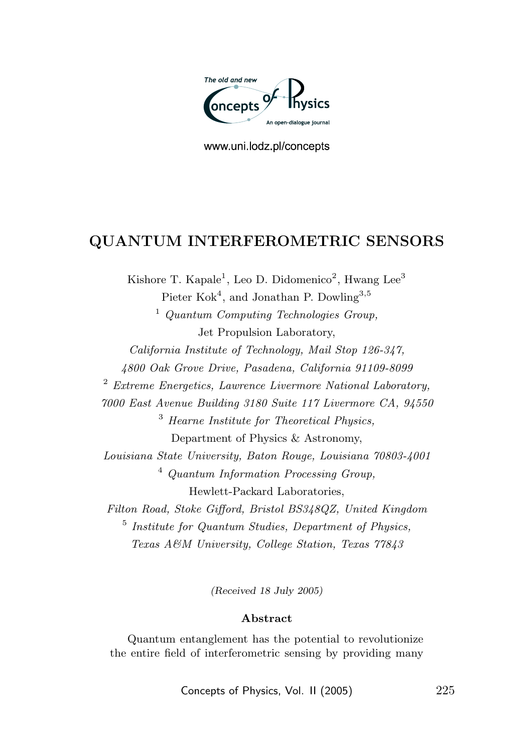

www.uni.lodz.pl/concepts

# QUANTUM INTERFEROMETRIC SENSORS

Kishore T. Kapale<sup>1</sup>, Leo D. Didomenico<sup>2</sup>, Hwang Lee<sup>3</sup> Pieter Kok<sup>4</sup>, and Jonathan P. Dowling<sup>3,5</sup> <sup>1</sup> Quantum Computing Technologies Group, Jet Propulsion Laboratory, California Institute of Technology, Mail Stop 126-347, 4800 Oak Grove Drive, Pasadena, California 91109-8099  $2$  Extreme Energetics, Lawrence Livermore National Laboratory, 7000 East Avenue Building 3180 Suite 117 Livermore CA, 94550 <sup>3</sup> Hearne Institute for Theoretical Physics, Department of Physics & Astronomy, Louisiana State University, Baton Rouge, Louisiana 70803-4001 <sup>4</sup> Quantum Information Processing Group, Hewlett-Packard Laboratories, Filton Road, Stoke Gifford, Bristol BS348QZ, United Kingdom 5 Institute for Quantum Studies, Department of Physics, Texas A&M University, College Station, Texas 77843

(Received 18 July 2005)

### Abstract

Quantum entanglement has the potential to revolutionize the entire field of interferometric sensing by providing many

Concepts of Physics, Vol. II (2005) 225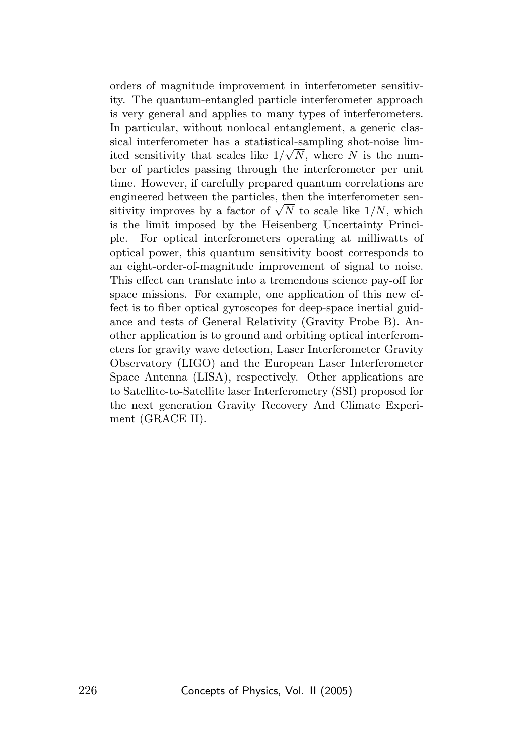orders of magnitude improvement in interferometer sensitivity. The quantum-entangled particle interferometer approach is very general and applies to many types of interferometers. In particular, without nonlocal entanglement, a generic classical interferometer has a statistical-sampling shot-noise lim-√ ited sensitivity that scales like  $1/\sqrt{N}$ , where N is the number of particles passing through the interferometer per unit time. However, if carefully prepared quantum correlations are engineered between the particles, then the interferometer senengineered between the particles, then the interferometer sensitivity improves by a factor of  $\sqrt{N}$  to scale like  $1/N$ , which is the limit imposed by the Heisenberg Uncertainty Principle. For optical interferometers operating at milliwatts of optical power, this quantum sensitivity boost corresponds to an eight-order-of-magnitude improvement of signal to noise. This effect can translate into a tremendous science pay-off for space missions. For example, one application of this new effect is to fiber optical gyroscopes for deep-space inertial guidance and tests of General Relativity (Gravity Probe B). Another application is to ground and orbiting optical interferometers for gravity wave detection, Laser Interferometer Gravity Observatory (LIGO) and the European Laser Interferometer Space Antenna (LISA), respectively. Other applications are to Satellite-to-Satellite laser Interferometry (SSI) proposed for the next generation Gravity Recovery And Climate Experiment (GRACE II).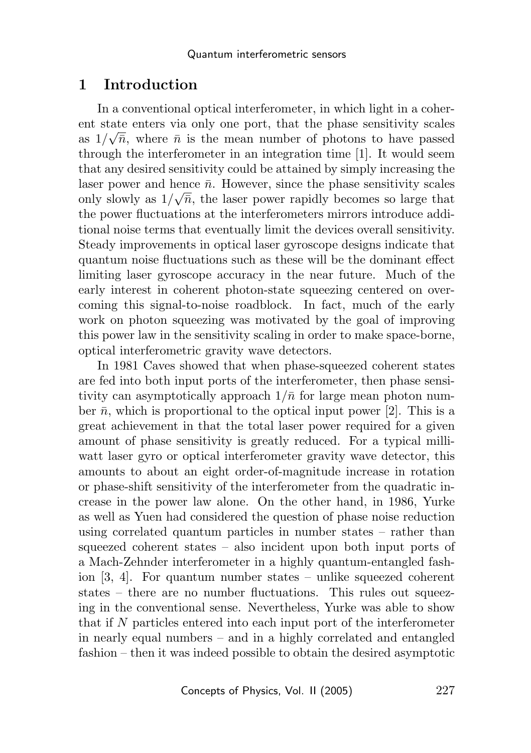## 1 Introduction

In a conventional optical interferometer, in which light in a coherent state enters via only one port, that the phase sensitivity scales as  $1/\sqrt{n}$ , where  $\bar{n}$  is the mean number of photons to have passed through the interferometer in an integration time [1]. It would seem that any desired sensitivity could be attained by simply increasing the laser power and hence  $\bar{n}$ . However, since the phase sensitivity scales only slowly as  $1/\sqrt{n}$ , the laser power rapidly becomes so large that the power fluctuations at the interferometers mirrors introduce additional noise terms that eventually limit the devices overall sensitivity. Steady improvements in optical laser gyroscope designs indicate that quantum noise fluctuations such as these will be the dominant effect limiting laser gyroscope accuracy in the near future. Much of the early interest in coherent photon-state squeezing centered on overcoming this signal-to-noise roadblock. In fact, much of the early work on photon squeezing was motivated by the goal of improving this power law in the sensitivity scaling in order to make space-borne, optical interferometric gravity wave detectors.

In 1981 Caves showed that when phase-squeezed coherent states are fed into both input ports of the interferometer, then phase sensitivity can asymptotically approach  $1/\bar{n}$  for large mean photon number  $\bar{n}$ , which is proportional to the optical input power [2]. This is a great achievement in that the total laser power required for a given amount of phase sensitivity is greatly reduced. For a typical milliwatt laser gyro or optical interferometer gravity wave detector, this amounts to about an eight order-of-magnitude increase in rotation or phase-shift sensitivity of the interferometer from the quadratic increase in the power law alone. On the other hand, in 1986, Yurke as well as Yuen had considered the question of phase noise reduction using correlated quantum particles in number states – rather than squeezed coherent states – also incident upon both input ports of a Mach-Zehnder interferometer in a highly quantum-entangled fashion [3, 4]. For quantum number states – unlike squeezed coherent states – there are no number fluctuations. This rules out squeezing in the conventional sense. Nevertheless, Yurke was able to show that if N particles entered into each input port of the interferometer in nearly equal numbers – and in a highly correlated and entangled fashion – then it was indeed possible to obtain the desired asymptotic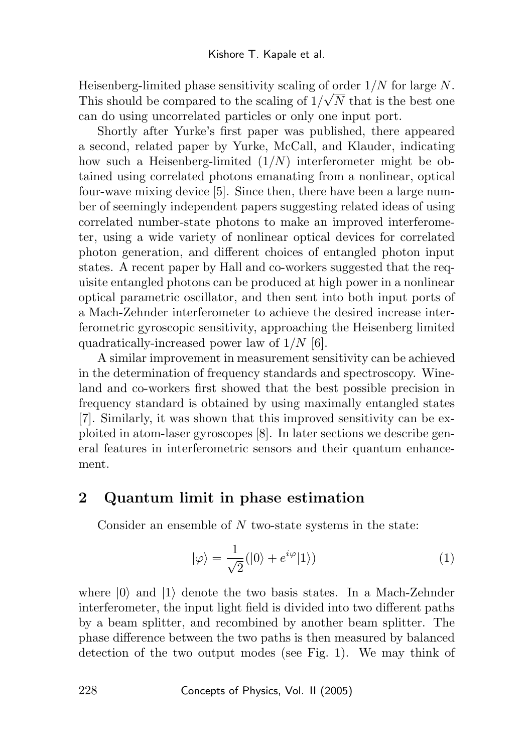Heisenberg-limited phase sensitivity scaling of order  $1/N$  for large N. This should be compared to the scaling of  $1/\sqrt{N}$  that is the best one can do using uncorrelated particles or only one input port.

Shortly after Yurke's first paper was published, there appeared a second, related paper by Yurke, McCall, and Klauder, indicating how such a Heisenberg-limited  $(1/N)$  interferometer might be obtained using correlated photons emanating from a nonlinear, optical four-wave mixing device [5]. Since then, there have been a large number of seemingly independent papers suggesting related ideas of using correlated number-state photons to make an improved interferometer, using a wide variety of nonlinear optical devices for correlated photon generation, and different choices of entangled photon input states. A recent paper by Hall and co-workers suggested that the requisite entangled photons can be produced at high power in a nonlinear optical parametric oscillator, and then sent into both input ports of a Mach-Zehnder interferometer to achieve the desired increase interferometric gyroscopic sensitivity, approaching the Heisenberg limited quadratically-increased power law of  $1/N$  [6].

A similar improvement in measurement sensitivity can be achieved in the determination of frequency standards and spectroscopy. Wineland and co-workers first showed that the best possible precision in frequency standard is obtained by using maximally entangled states [7]. Similarly, it was shown that this improved sensitivity can be exploited in atom-laser gyroscopes [8]. In later sections we describe general features in interferometric sensors and their quantum enhancement.

## 2 Quantum limit in phase estimation

Consider an ensemble of N two-state systems in the state:

$$
|\varphi\rangle = \frac{1}{\sqrt{2}}(|0\rangle + e^{i\varphi}|1\rangle)
$$
 (1)

where  $|0\rangle$  and  $|1\rangle$  denote the two basis states. In a Mach-Zehnder interferometer, the input light field is divided into two different paths by a beam splitter, and recombined by another beam splitter. The phase difference between the two paths is then measured by balanced detection of the two output modes (see Fig. 1). We may think of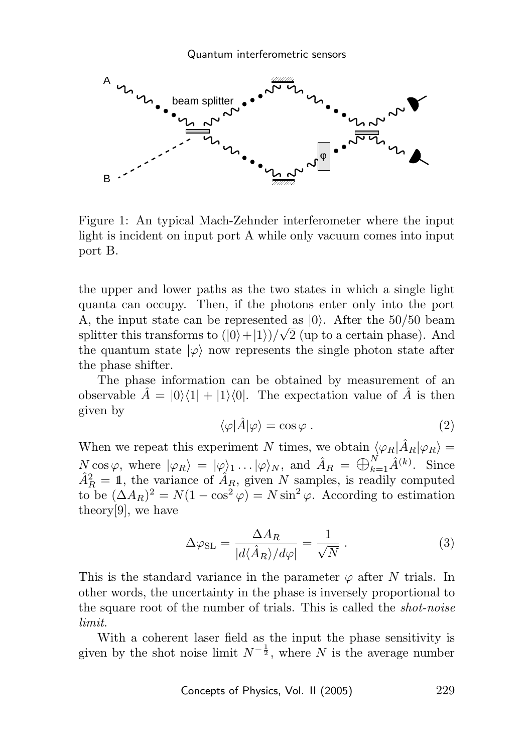

Figure 1: An typical Mach-Zehnder interferometer where the input light is incident on input port A while only vacuum comes into input port B.

the upper and lower paths as the two states in which a single light quanta can occupy. Then, if the photons enter only into the port A, the input state can be represented as  $|0\rangle$ . After the 50/50 beam splitter this transforms to  $(|0\rangle + |1\rangle)/\sqrt{2}$  (up to a certain phase). And the quantum state  $|\varphi\rangle$  now represents the single photon state after the phase shifter.

The phase information can be obtained by measurement of an observable  $\hat{A} = |0\rangle\langle 1| + |1\rangle\langle 0|$ . The expectation value of  $\hat{A}$  is then given by

$$
\langle \varphi | \hat{A} | \varphi \rangle = \cos \varphi . \tag{2}
$$

When we repeat this experiment N times, we obtain  $\langle \varphi_R | \hat{A}_R | \varphi_R \rangle =$  $N \cos \varphi$ , where  $|\varphi_R\rangle = |\varphi\rangle_1 \dots |\varphi\rangle_N$ , and  $\hat{A}_R = \bigoplus_{k=1}^N \hat{A}^{(k)}$ . Since  $\hat{A}_R^2 = 1$ , the variance of  $\hat{A}_R$ , given N samples, is readily computed to be  $(\Delta A_R)^2 = N(1 - \cos^2 \varphi) = N \sin^2 \varphi$ . According to estimation theory[9], we have

$$
\Delta \varphi_{\rm SL} = \frac{\Delta A_R}{|d \langle \hat{A}_R \rangle / d\varphi|} = \frac{1}{\sqrt{N}}.
$$
\n(3)

This is the standard variance in the parameter  $\varphi$  after N trials. In other words, the uncertainty in the phase is inversely proportional to the square root of the number of trials. This is called the shot-noise limit.

With a coherent laser field as the input the phase sensitivity is given by the shot noise limit  $N^{-\frac{1}{2}}$ , where N is the average number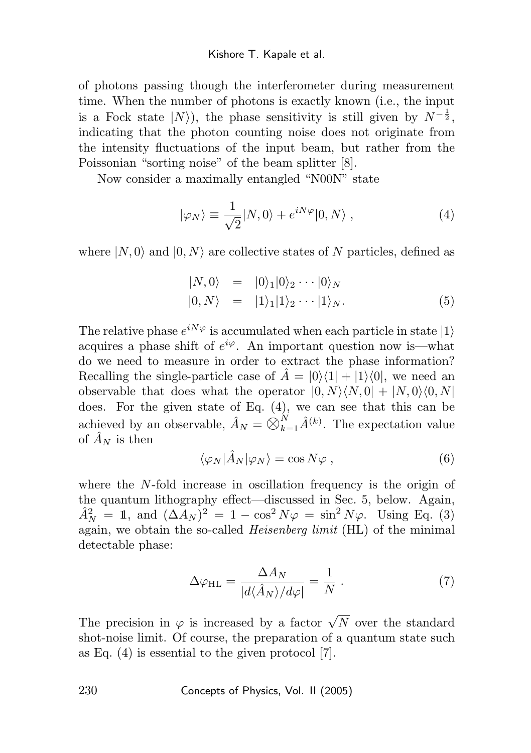of photons passing though the interferometer during measurement time. When the number of photons is exactly known (i.e., the input is a Fock state  $|N\rangle$ , the phase sensitivity is still given by  $N^{-\frac{1}{2}}$ , indicating that the photon counting noise does not originate from the intensity fluctuations of the input beam, but rather from the Poissonian "sorting noise" of the beam splitter [8].

Now consider a maximally entangled "N00N" state

$$
|\varphi_N\rangle \equiv \frac{1}{\sqrt{2}} |N,0\rangle + e^{iN\varphi} |0,N\rangle , \qquad (4)
$$

where  $|N, 0\rangle$  and  $|0, N\rangle$  are collective states of N particles, defined as

$$
\begin{array}{rcl}\n\vert N,0\rangle & = & \vert 0\rangle_1 \vert 0\rangle_2 \cdots \vert 0\rangle_N \\
\vert 0,N\rangle & = & \vert 1\rangle_1 \vert 1\rangle_2 \cdots \vert 1\rangle_N.\n\end{array} \tag{5}
$$

The relative phase  $e^{iN\varphi}$  is accumulated when each particle in state  $|1\rangle$ acquires a phase shift of  $e^{i\varphi}$ . An important question now is—what do we need to measure in order to extract the phase information? Recalling the single-particle case of  $\hat{A} = |0\rangle\langle 1| + |1\rangle\langle 0|$ , we need an observable that does what the operator  $|0, N\rangle\langle N, 0| + |N, 0\rangle\langle 0, N|$ does. For the given state of Eq. (4), we can see that this can be achieved by an observable,  $\hat{A}_N = \bigotimes_{k=1}^N \hat{A}^{(k)}$ . The expectation value of  $\hat{A}_N$  is then

$$
\langle \varphi_N | \hat{A}_N | \varphi_N \rangle = \cos N \varphi , \qquad (6)
$$

where the  $N$ -fold increase in oscillation frequency is the origin of the quantum lithography effect—discussed in Sec. 5, below. Again,  $\hat{A}_N^2 = 1$ , and  $(\Delta A_N)^2 = 1 - \cos^2 N\varphi = \sin^2 N\varphi$ . Using Eq. (3) again, we obtain the so-called Heisenberg limit (HL) of the minimal detectable phase:

$$
\Delta \varphi_{\rm HL} = \frac{\Delta A_N}{|d\langle \hat{A}_N \rangle / d\varphi|} = \frac{1}{N} \,. \tag{7}
$$

The precision in  $\varphi$  is increased by a factor  $\sqrt{N}$  over the standard shot-noise limit. Of course, the preparation of a quantum state such as Eq. (4) is essential to the given protocol [7].

230 Concepts of Physics, Vol. II (2005)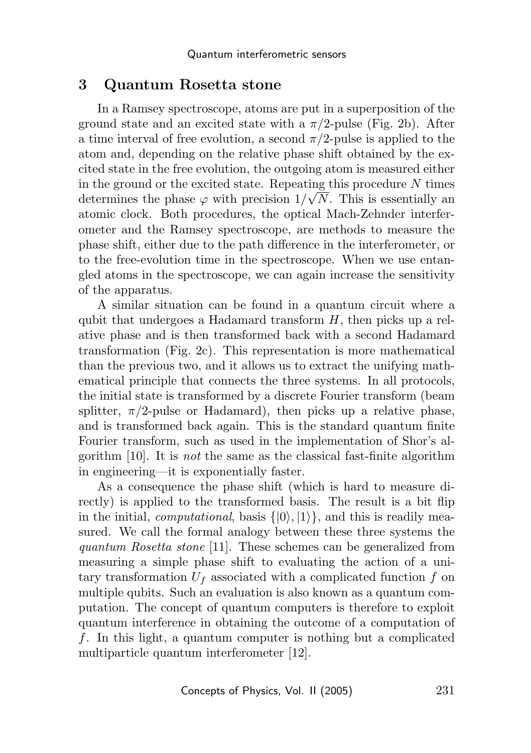### 3 Quantum Rosetta stone

In a Ramsey spectroscope, atoms are put in a superposition of the ground state and an excited state with a  $\pi/2$ -pulse (Fig. 2b). After a time interval of free evolution, a second  $\pi/2$ -pulse is applied to the atom and, depending on the relative phase shift obtained by the excited state in the free evolution, the outgoing atom is measured either in the ground or the excited state. Repeating this procedure  $N$  times determines the phase  $\varphi$  with precision  $1/\sqrt{N}$ . This is essentially an atomic clock. Both procedures, the optical Mach-Zehnder interferometer and the Ramsey spectroscope, are methods to measure the phase shift, either due to the path difference in the interferometer, or to the free-evolution time in the spectroscope. When we use entangled atoms in the spectroscope, we can again increase the sensitivity of the apparatus.

A similar situation can be found in a quantum circuit where a qubit that undergoes a Hadamard transform  $H$ , then picks up a relative phase and is then transformed back with a second Hadamard transformation (Fig. 2c). This representation is more mathematical than the previous two, and it allows us to extract the unifying mathematical principle that connects the three systems. In all protocols, the initial state is transformed by a discrete Fourier transform (beam splitter,  $\pi/2$ -pulse or Hadamard), then picks up a relative phase, and is transformed back again. This is the standard quantum finite Fourier transform, such as used in the implementation of Shor's algorithm  $[10]$ . It is *not* the same as the classical fast-finite algorithm in engineering—it is exponentially faster.

As a consequence the phase shift (which is hard to measure directly) is applied to the transformed basis. The result is a bit flip in the initial, *computational*, basis  $\{|0\rangle, |1\rangle\}$ , and this is readily measured. We call the formal analogy between these three systems the quantum Rosetta stone [11]. These schemes can be generalized from measuring a simple phase shift to evaluating the action of a unitary transformation  $U_f$  associated with a complicated function  $f$  on multiple qubits. Such an evaluation is also known as a quantum computation. The concept of quantum computers is therefore to exploit quantum interference in obtaining the outcome of a computation of f. In this light, a quantum computer is nothing but a complicated multiparticle quantum interferometer [12].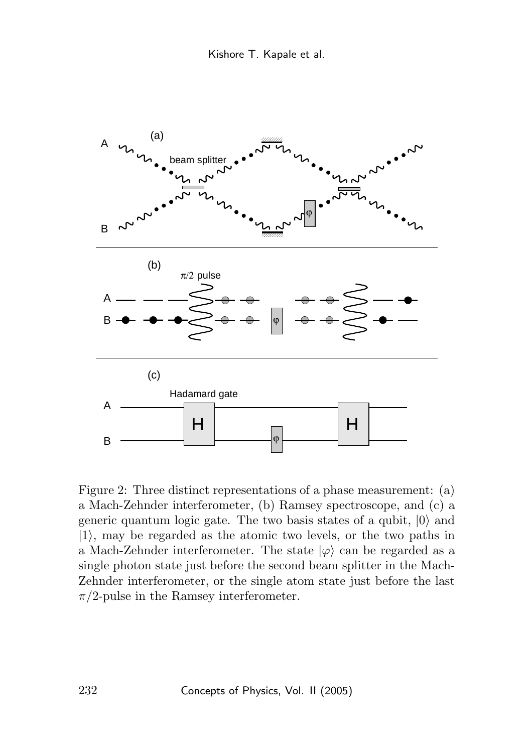

Figure 2: Three distinct representations of a phase measurement: (a) a Mach-Zehnder interferometer, (b) Ramsey spectroscope, and (c) a generic quantum logic gate. The two basis states of a qubit,  $|0\rangle$  and  $|1\rangle$ , may be regarded as the atomic two levels, or the two paths in a Mach-Zehnder interferometer. The state  $|\varphi\rangle$  can be regarded as a single photon state just before the second beam splitter in the Mach-Zehnder interferometer, or the single atom state just before the last  $\pi/2$ -pulse in the Ramsey interferometer.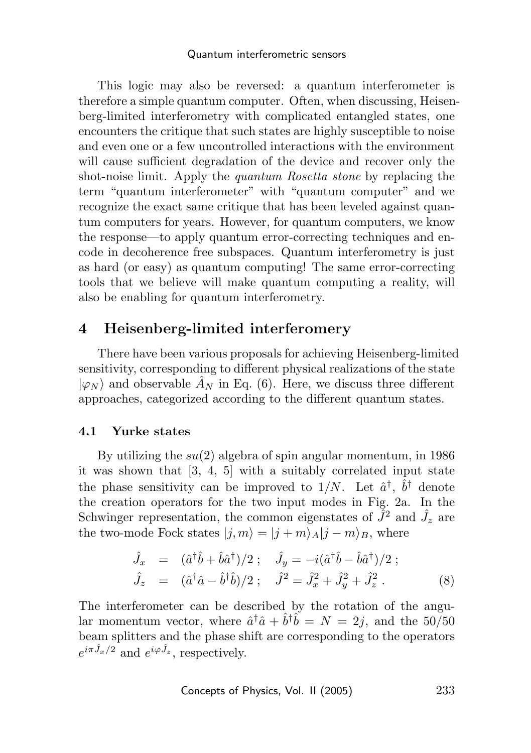#### Quantum interferometric sensors

This logic may also be reversed: a quantum interferometer is therefore a simple quantum computer. Often, when discussing, Heisenberg-limited interferometry with complicated entangled states, one encounters the critique that such states are highly susceptible to noise and even one or a few uncontrolled interactions with the environment will cause sufficient degradation of the device and recover only the shot-noise limit. Apply the *quantum Rosetta stone* by replacing the term "quantum interferometer" with "quantum computer" and we recognize the exact same critique that has been leveled against quantum computers for years. However, for quantum computers, we know the response—to apply quantum error-correcting techniques and encode in decoherence free subspaces. Quantum interferometry is just as hard (or easy) as quantum computing! The same error-correcting tools that we believe will make quantum computing a reality, will also be enabling for quantum interferometry.

# 4 Heisenberg-limited interferomery

There have been various proposals for achieving Heisenberg-limited sensitivity, corresponding to different physical realizations of the state  $|\varphi_N\rangle$  and observable  $\hat{A}_N$  in Eq. (6). Here, we discuss three different approaches, categorized according to the different quantum states.

### 4.1 Yurke states

By utilizing the  $su(2)$  algebra of spin angular momentum, in 1986 it was shown that [3, 4, 5] with a suitably correlated input state the phase sensitivity can be improved to  $1/N$ . Let  $\hat{a}^{\dagger}$ ,  $\hat{b}^{\dagger}$  denote the creation operators for the two input modes in Fig. 2a. In the Schwinger representation, the common eigenstates of  $\tilde{J}^2$  and  $\hat{J}_z$  are the two-mode Fock states  $|i, m\rangle = |j + m\rangle_A |j - m\rangle_B$ , where

$$
\hat{J}_x = (\hat{a}^\dagger \hat{b} + \hat{b} \hat{a}^\dagger)/2 ; \quad \hat{J}_y = -i(\hat{a}^\dagger \hat{b} - \hat{b} \hat{a}^\dagger)/2 ; \n\hat{J}_z = (\hat{a}^\dagger \hat{a} - \hat{b}^\dagger \hat{b})/2 ; \quad \hat{J}^2 = \hat{J}_x^2 + \hat{J}_y^2 + \hat{J}_z^2 .
$$
\n(8)

The interferometer can be described by the rotation of the angular momentum vector, where  $\hat{a}^\dagger \hat{a} + \hat{b}^\dagger \hat{b} = N = 2j$ , and the 50/50 beam splitters and the phase shift are corresponding to the operators  $e^{i\pi \hat{J}_x/2}$  and  $e^{i\varphi \hat{J}_z}$ , respectively.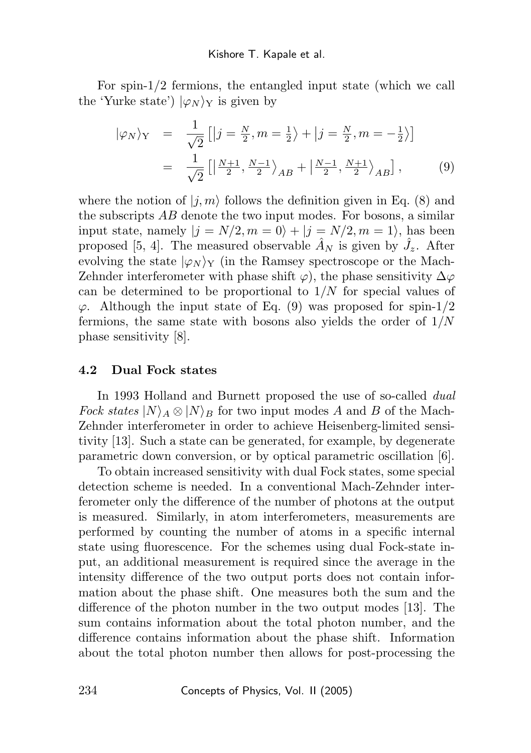For spin-1/2 fermions, the entangled input state (which we call the 'Yurke state')  $|\varphi_N\rangle_Y$  is given by

$$
|\varphi_N\rangle_Y = \frac{1}{\sqrt{2}} \left[ |j = \frac{N}{2}, m = \frac{1}{2} \rangle + |j = \frac{N}{2}, m = -\frac{1}{2} \rangle \right]
$$

$$
= \frac{1}{\sqrt{2}} \left[ \left| \frac{N+1}{2}, \frac{N-1}{2} \right\rangle_{AB} + \left| \frac{N-1}{2}, \frac{N+1}{2} \right\rangle_{AB} \right], \tag{9}
$$

where the notion of  $|i, m\rangle$  follows the definition given in Eq. (8) and the subscripts AB denote the two input modes. For bosons, a similar input state, namely  $|j = N/2, m = 0\rangle + |j = N/2, m = 1\rangle$ , has been proposed [5, 4]. The measured observable  $\hat{A}_N$  is given by  $\hat{J}_z$ . After evolving the state  $|\varphi_N\rangle_Y$  (in the Ramsey spectroscope or the Mach-Zehnder interferometer with phase shift  $\varphi$ ), the phase sensitivity  $\Delta \varphi$ can be determined to be proportional to  $1/N$  for special values of  $\varphi$ . Although the input state of Eq. (9) was proposed for spin-1/2 fermions, the same state with bosons also yields the order of  $1/N$ phase sensitivity [8].

### 4.2 Dual Fock states

In 1993 Holland and Burnett proposed the use of so-called *dual* Fock states  $|N\rangle_A \otimes |N\rangle_B$  for two input modes A and B of the Mach-Zehnder interferometer in order to achieve Heisenberg-limited sensitivity [13]. Such a state can be generated, for example, by degenerate parametric down conversion, or by optical parametric oscillation [6].

To obtain increased sensitivity with dual Fock states, some special detection scheme is needed. In a conventional Mach-Zehnder interferometer only the difference of the number of photons at the output is measured. Similarly, in atom interferometers, measurements are performed by counting the number of atoms in a specific internal state using fluorescence. For the schemes using dual Fock-state input, an additional measurement is required since the average in the intensity difference of the two output ports does not contain information about the phase shift. One measures both the sum and the difference of the photon number in the two output modes [13]. The sum contains information about the total photon number, and the difference contains information about the phase shift. Information about the total photon number then allows for post-processing the

234 Concepts of Physics, Vol. II (2005)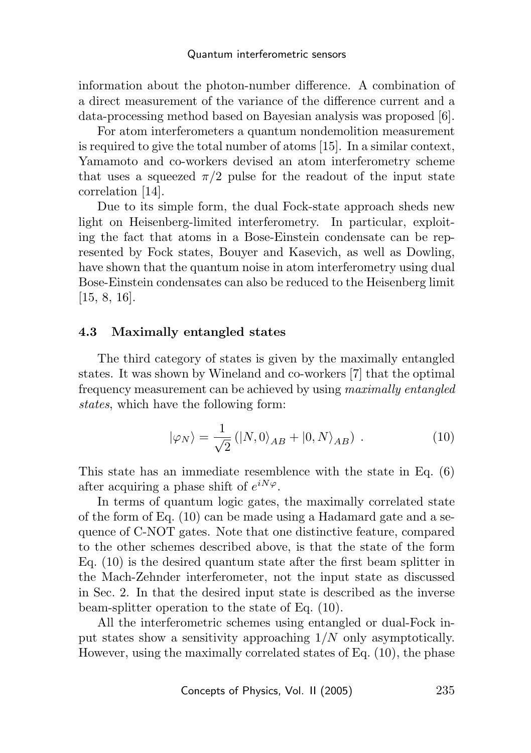information about the photon-number difference. A combination of a direct measurement of the variance of the difference current and a data-processing method based on Bayesian analysis was proposed [6].

For atom interferometers a quantum nondemolition measurement is required to give the total number of atoms [15]. In a similar context, Yamamoto and co-workers devised an atom interferometry scheme that uses a squeezed  $\pi/2$  pulse for the readout of the input state correlation [14].

Due to its simple form, the dual Fock-state approach sheds new light on Heisenberg-limited interferometry. In particular, exploiting the fact that atoms in a Bose-Einstein condensate can be represented by Fock states, Bouyer and Kasevich, as well as Dowling, have shown that the quantum noise in atom interferometry using dual Bose-Einstein condensates can also be reduced to the Heisenberg limit [15, 8, 16].

### 4.3 Maximally entangled states

The third category of states is given by the maximally entangled states. It was shown by Wineland and co-workers [7] that the optimal frequency measurement can be achieved by using maximally entangled states, which have the following form:

$$
|\varphi_N\rangle = \frac{1}{\sqrt{2}} (|N,0\rangle_{AB} + |0,N\rangle_{AB}). \qquad (10)
$$

This state has an immediate resemblence with the state in Eq. (6) after acquiring a phase shift of  $e^{iN\varphi}$ .

In terms of quantum logic gates, the maximally correlated state of the form of Eq. (10) can be made using a Hadamard gate and a sequence of C-NOT gates. Note that one distinctive feature, compared to the other schemes described above, is that the state of the form Eq. (10) is the desired quantum state after the first beam splitter in the Mach-Zehnder interferometer, not the input state as discussed in Sec. 2. In that the desired input state is described as the inverse beam-splitter operation to the state of Eq. (10).

All the interferometric schemes using entangled or dual-Fock input states show a sensitivity approaching  $1/N$  only asymptotically. However, using the maximally correlated states of Eq. (10), the phase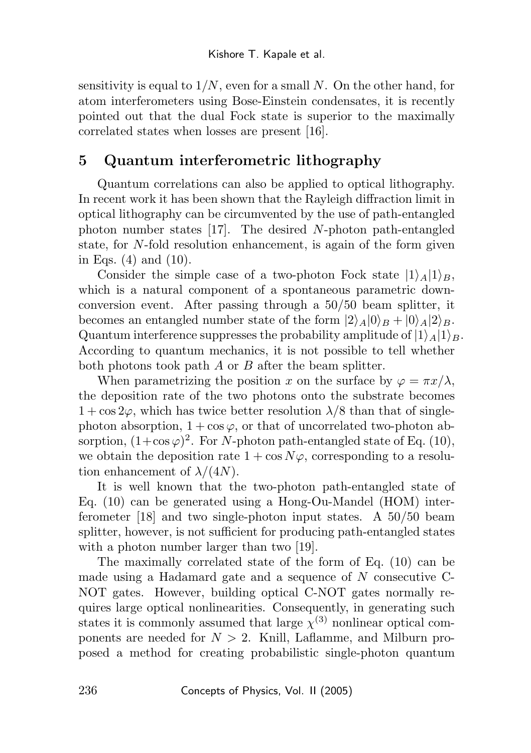sensitivity is equal to  $1/N$ , even for a small N. On the other hand, for atom interferometers using Bose-Einstein condensates, it is recently pointed out that the dual Fock state is superior to the maximally correlated states when losses are present [16].

# 5 Quantum interferometric lithography

Quantum correlations can also be applied to optical lithography. In recent work it has been shown that the Rayleigh diffraction limit in optical lithography can be circumvented by the use of path-entangled photon number states [17]. The desired N-photon path-entangled state, for N-fold resolution enhancement, is again of the form given in Eqs. (4) and (10).

Consider the simple case of a two-photon Fock state  $|1\rangle_A|1\rangle_B$ , which is a natural component of a spontaneous parametric downconversion event. After passing through a 50/50 beam splitter, it becomes an entangled number state of the form  $|2\rangle_A|0\rangle_B + |0\rangle_A|2\rangle_B$ . Quantum interference suppresses the probability amplitude of  $|1\rangle_A|1\rangle_B$ . According to quantum mechanics, it is not possible to tell whether both photons took path A or B after the beam splitter.

When parametrizing the position x on the surface by  $\varphi = \pi x/\lambda$ , the deposition rate of the two photons onto the substrate becomes  $1 + \cos 2\varphi$ , which has twice better resolution  $\lambda/8$  than that of singlephoton absorption,  $1 + \cos \varphi$ , or that of uncorrelated two-photon absorption,  $(1+\cos\varphi)^2$ . For N-photon path-entangled state of Eq. (10), we obtain the deposition rate  $1 + \cos N\varphi$ , corresponding to a resolution enhancement of  $\lambda/(4N)$ .

It is well known that the two-photon path-entangled state of Eq. (10) can be generated using a Hong-Ou-Mandel (HOM) interferometer [18] and two single-photon input states. A 50/50 beam splitter, however, is not sufficient for producing path-entangled states with a photon number larger than two [19].

The maximally correlated state of the form of Eq. (10) can be made using a Hadamard gate and a sequence of N consecutive C-NOT gates. However, building optical C-NOT gates normally requires large optical nonlinearities. Consequently, in generating such states it is commonly assumed that large  $\chi^{(3)}$  nonlinear optical components are needed for  $N > 2$ . Knill, Laflamme, and Milburn proposed a method for creating probabilistic single-photon quantum

236 Concepts of Physics, Vol. II (2005)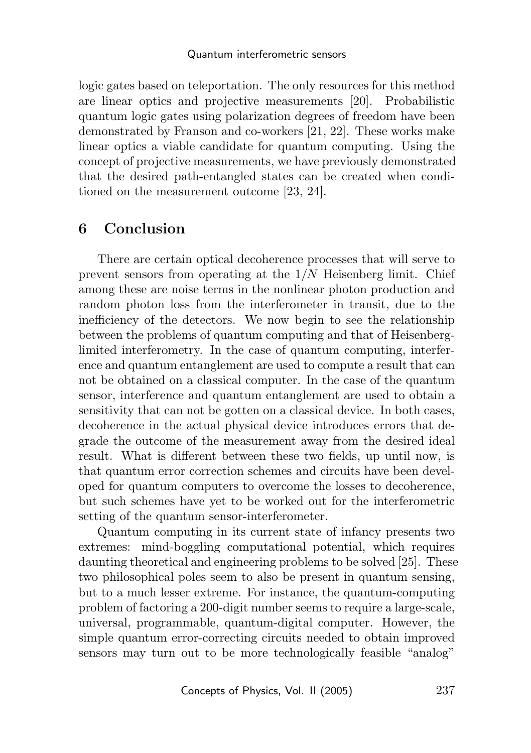logic gates based on teleportation. The only resources for this method are linear optics and projective measurements [20]. Probabilistic quantum logic gates using polarization degrees of freedom have been demonstrated by Franson and co-workers [21, 22]. These works make linear optics a viable candidate for quantum computing. Using the concept of projective measurements, we have previously demonstrated that the desired path-entangled states can be created when conditioned on the measurement outcome [23, 24].

## 6 Conclusion

There are certain optical decoherence processes that will serve to prevent sensors from operating at the 1/N Heisenberg limit. Chief among these are noise terms in the nonlinear photon production and random photon loss from the interferometer in transit, due to the inefficiency of the detectors. We now begin to see the relationship between the problems of quantum computing and that of Heisenberglimited interferometry. In the case of quantum computing, interference and quantum entanglement are used to compute a result that can not be obtained on a classical computer. In the case of the quantum sensor, interference and quantum entanglement are used to obtain a sensitivity that can not be gotten on a classical device. In both cases, decoherence in the actual physical device introduces errors that degrade the outcome of the measurement away from the desired ideal result. What is different between these two fields, up until now, is that quantum error correction schemes and circuits have been developed for quantum computers to overcome the losses to decoherence, but such schemes have yet to be worked out for the interferometric setting of the quantum sensor-interferometer.

Quantum computing in its current state of infancy presents two extremes: mind-boggling computational potential, which requires daunting theoretical and engineering problems to be solved [25]. These two philosophical poles seem to also be present in quantum sensing, but to a much lesser extreme. For instance, the quantum-computing problem of factoring a 200-digit number seems to require a large-scale, universal, programmable, quantum-digital computer. However, the simple quantum error-correcting circuits needed to obtain improved sensors may turn out to be more technologically feasible "analog"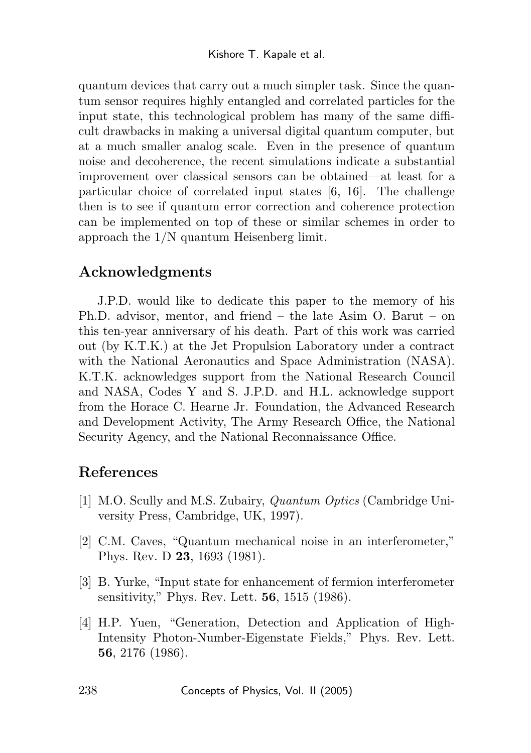quantum devices that carry out a much simpler task. Since the quantum sensor requires highly entangled and correlated particles for the input state, this technological problem has many of the same difficult drawbacks in making a universal digital quantum computer, but at a much smaller analog scale. Even in the presence of quantum noise and decoherence, the recent simulations indicate a substantial improvement over classical sensors can be obtained—at least for a particular choice of correlated input states [6, 16]. The challenge then is to see if quantum error correction and coherence protection can be implemented on top of these or similar schemes in order to approach the 1/N quantum Heisenberg limit.

## Acknowledgments

J.P.D. would like to dedicate this paper to the memory of his Ph.D. advisor, mentor, and friend – the late Asim O. Barut – on this ten-year anniversary of his death. Part of this work was carried out (by K.T.K.) at the Jet Propulsion Laboratory under a contract with the National Aeronautics and Space Administration (NASA). K.T.K. acknowledges support from the National Research Council and NASA, Codes Y and S. J.P.D. and H.L. acknowledge support from the Horace C. Hearne Jr. Foundation, the Advanced Research and Development Activity, The Army Research Office, the National Security Agency, and the National Reconnaissance Office.

# References

- [1] M.O. Scully and M.S. Zubairy, Quantum Optics (Cambridge University Press, Cambridge, UK, 1997).
- [2] C.M. Caves, "Quantum mechanical noise in an interferometer," Phys. Rev. D 23, 1693 (1981).
- [3] B. Yurke, "Input state for enhancement of fermion interferometer sensitivity," Phys. Rev. Lett. 56, 1515 (1986).
- [4] H.P. Yuen, "Generation, Detection and Application of High-Intensity Photon-Number-Eigenstate Fields," Phys. Rev. Lett. 56, 2176 (1986).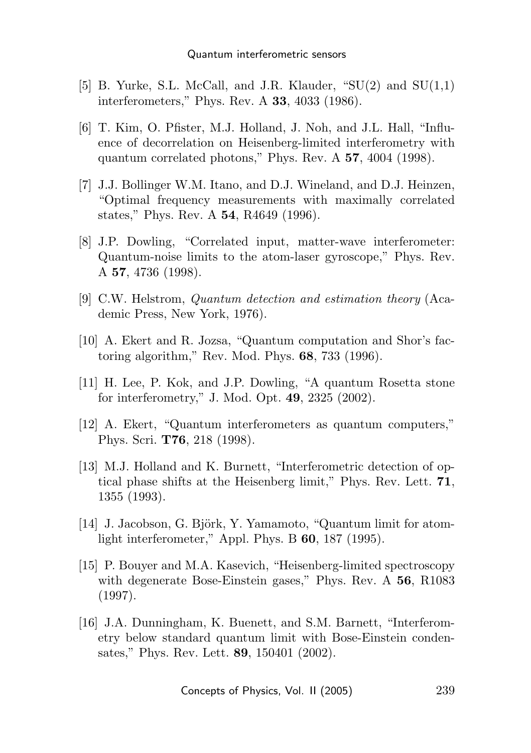- [5] B. Yurke, S.L. McCall, and J.R. Klauder, " $SU(2)$  and  $SU(1,1)$ interferometers," Phys. Rev. A 33, 4033 (1986).
- [6] T. Kim, O. Pfister, M.J. Holland, J. Noh, and J.L. Hall, "Influence of decorrelation on Heisenberg-limited interferometry with quantum correlated photons," Phys. Rev. A 57, 4004 (1998).
- [7] J.J. Bollinger W.M. Itano, and D.J. Wineland, and D.J. Heinzen, "Optimal frequency measurements with maximally correlated states," Phys. Rev. A 54, R4649 (1996).
- [8] J.P. Dowling, "Correlated input, matter-wave interferometer: Quantum-noise limits to the atom-laser gyroscope," Phys. Rev. A 57, 4736 (1998).
- [9] C.W. Helstrom, Quantum detection and estimation theory (Academic Press, New York, 1976).
- [10] A. Ekert and R. Jozsa, "Quantum computation and Shor's factoring algorithm," Rev. Mod. Phys. 68, 733 (1996).
- [11] H. Lee, P. Kok, and J.P. Dowling, "A quantum Rosetta stone for interferometry," J. Mod. Opt. 49, 2325 (2002).
- [12] A. Ekert, "Quantum interferometers as quantum computers," Phys. Scri. T76, 218 (1998).
- [13] M.J. Holland and K. Burnett, "Interferometric detection of optical phase shifts at the Heisenberg limit," Phys. Rev. Lett. 71, 1355 (1993).
- $[14]$  J. Jacobson, G. Björk, Y. Yamamoto, "Quantum limit for atomlight interferometer," Appl. Phys. B 60, 187 (1995).
- [15] P. Bouyer and M.A. Kasevich, "Heisenberg-limited spectroscopy with degenerate Bose-Einstein gases," Phys. Rev. A 56, R1083 (1997).
- [16] J.A. Dunningham, K. Buenett, and S.M. Barnett, "Interferometry below standard quantum limit with Bose-Einstein condensates," Phys. Rev. Lett. 89, 150401 (2002).